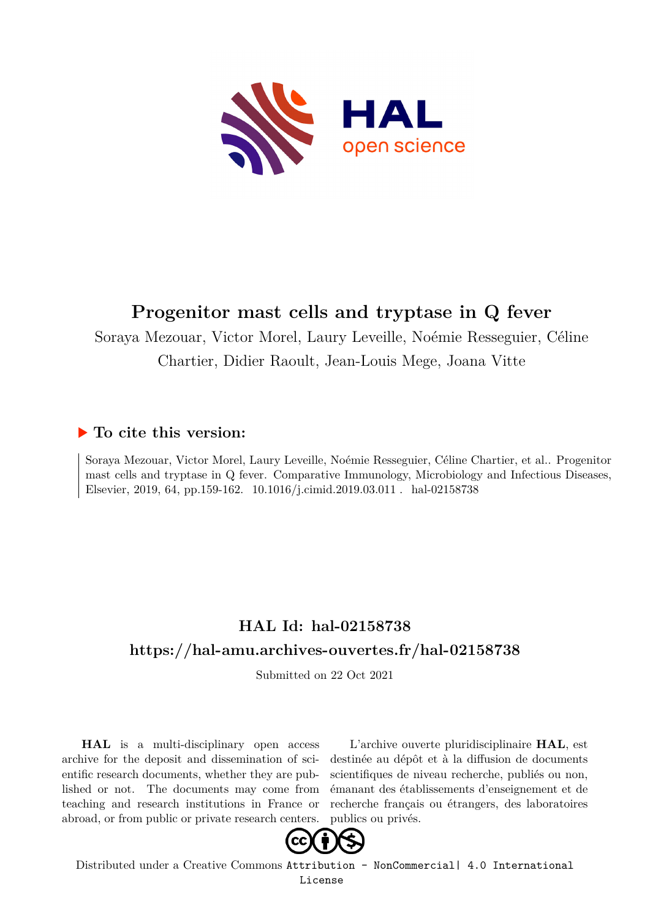

# **Progenitor mast cells and tryptase in Q fever**

Soraya Mezouar, Victor Morel, Laury Leveille, Noémie Resseguier, Céline Chartier, Didier Raoult, Jean-Louis Mege, Joana Vitte

# **To cite this version:**

Soraya Mezouar, Victor Morel, Laury Leveille, Noémie Resseguier, Céline Chartier, et al.. Progenitor mast cells and tryptase in Q fever. Comparative Immunology, Microbiology and Infectious Diseases, Elsevier, 2019, 64, pp.159-162. 10.1016/j.cimid.2019.03.011 . hal-02158738

# **HAL Id: hal-02158738 <https://hal-amu.archives-ouvertes.fr/hal-02158738>**

Submitted on 22 Oct 2021

**HAL** is a multi-disciplinary open access archive for the deposit and dissemination of scientific research documents, whether they are published or not. The documents may come from teaching and research institutions in France or abroad, or from public or private research centers.

L'archive ouverte pluridisciplinaire **HAL**, est destinée au dépôt et à la diffusion de documents scientifiques de niveau recherche, publiés ou non, émanant des établissements d'enseignement et de recherche français ou étrangers, des laboratoires publics ou privés.



Distributed under a Creative Commons [Attribution - NonCommercial| 4.0 International](http://creativecommons.org/licenses/by-nc/4.0/) [License](http://creativecommons.org/licenses/by-nc/4.0/)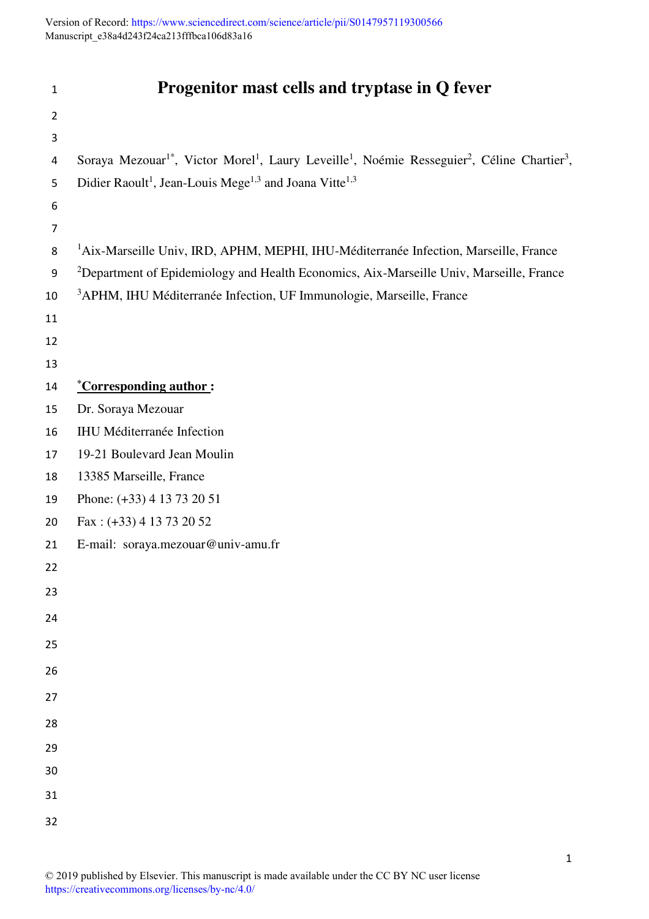Version of Record: <https://www.sciencedirect.com/science/article/pii/S0147957119300566> Manuscript\_e38a4d243f24ca213fffbca106d83a16

| $\mathbf{1}$   | Progenitor mast cells and tryptase in Q fever                                                                                                            |
|----------------|----------------------------------------------------------------------------------------------------------------------------------------------------------|
| $\overline{2}$ |                                                                                                                                                          |
| 3              |                                                                                                                                                          |
| 4              | Soraya Mezouar <sup>1*</sup> , Victor Morel <sup>1</sup> , Laury Leveille <sup>1</sup> , Noémie Resseguier <sup>2</sup> , Céline Chartier <sup>3</sup> , |
| 5              | Didier Raoult <sup>1</sup> , Jean-Louis Mege <sup>1,3</sup> and Joana Vitte <sup>1,3</sup>                                                               |
| 6              |                                                                                                                                                          |
| $\overline{7}$ |                                                                                                                                                          |
| 8              | <sup>1</sup> Aix-Marseille Univ, IRD, APHM, MEPHI, IHU-Méditerranée Infection, Marseille, France                                                         |
| 9              | <sup>2</sup> Department of Epidemiology and Health Economics, Aix-Marseille Univ, Marseille, France                                                      |
| 10             | <sup>3</sup> APHM, IHU Méditerranée Infection, UF Immunologie, Marseille, France                                                                         |
| 11             |                                                                                                                                                          |
| 12             |                                                                                                                                                          |
| 13             |                                                                                                                                                          |
| 14             | <i><u>*Corresponding author:</u></i>                                                                                                                     |
| 15             | Dr. Soraya Mezouar                                                                                                                                       |
| 16             | <b>IHU Méditerranée Infection</b>                                                                                                                        |
| 17             | 19-21 Boulevard Jean Moulin                                                                                                                              |
| 18             | 13385 Marseille, France                                                                                                                                  |
| 19             | Phone: (+33) 4 13 73 20 51                                                                                                                               |
| 20             | Fax: $(+33)$ 4 13 73 20 52                                                                                                                               |
| 21             | E-mail: soraya.mezouar@univ-amu.fr                                                                                                                       |
| 22             |                                                                                                                                                          |
| 23             |                                                                                                                                                          |
| 24             |                                                                                                                                                          |
| 25             |                                                                                                                                                          |
| 26             |                                                                                                                                                          |
| 27             |                                                                                                                                                          |
| 28             |                                                                                                                                                          |
| 29             |                                                                                                                                                          |
| 30             |                                                                                                                                                          |
| 31             |                                                                                                                                                          |
| 32             |                                                                                                                                                          |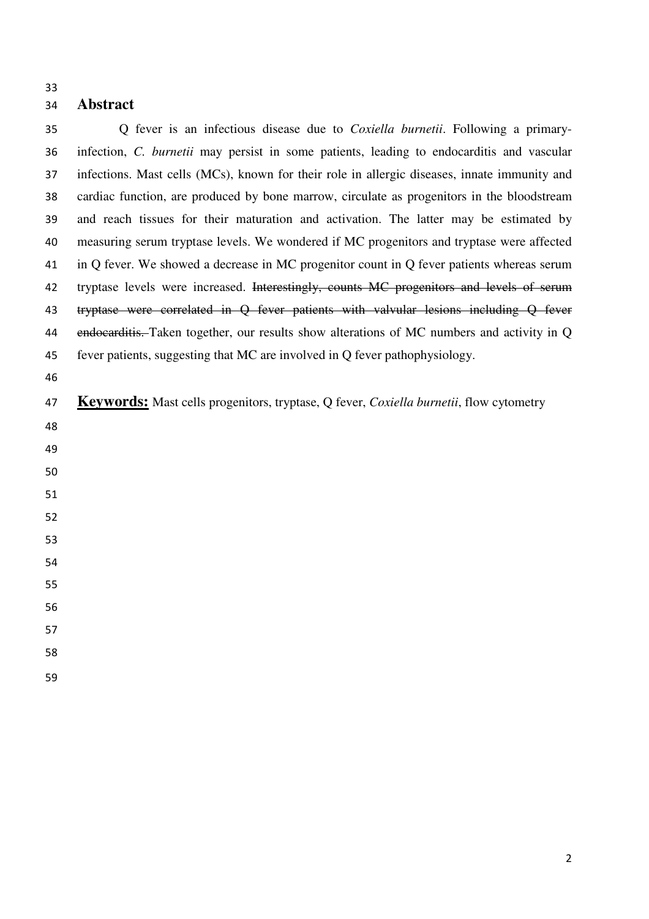#### 

# **Abstract**

Q fever is an infectious disease due to *Coxiella burnetii*. Following a primary-infection, *C. burnetii* may persist in some patients, leading to endocarditis and vascular infections. Mast cells (MCs), known for their role in allergic diseases, innate immunity and cardiac function, are produced by bone marrow, circulate as progenitors in the bloodstream and reach tissues for their maturation and activation. The latter may be estimated by measuring serum tryptase levels. We wondered if MC progenitors and tryptase were affected in Q fever. We showed a decrease in MC progenitor count in Q fever patients whereas serum 42 tryptase levels were increased. Interestingly, counts MC progenitors and levels of serum 43 tryptase were correlated in Q fever patients with valvular lesions including Q fever 44 endocarditis. Taken together, our results show alterations of MC numbers and activity in Q fever patients, suggesting that MC are involved in Q fever pathophysiology. **Keywords:** Mast cells progenitors, tryptase, Q fever, *Coxiella burnetii*, flow cytometry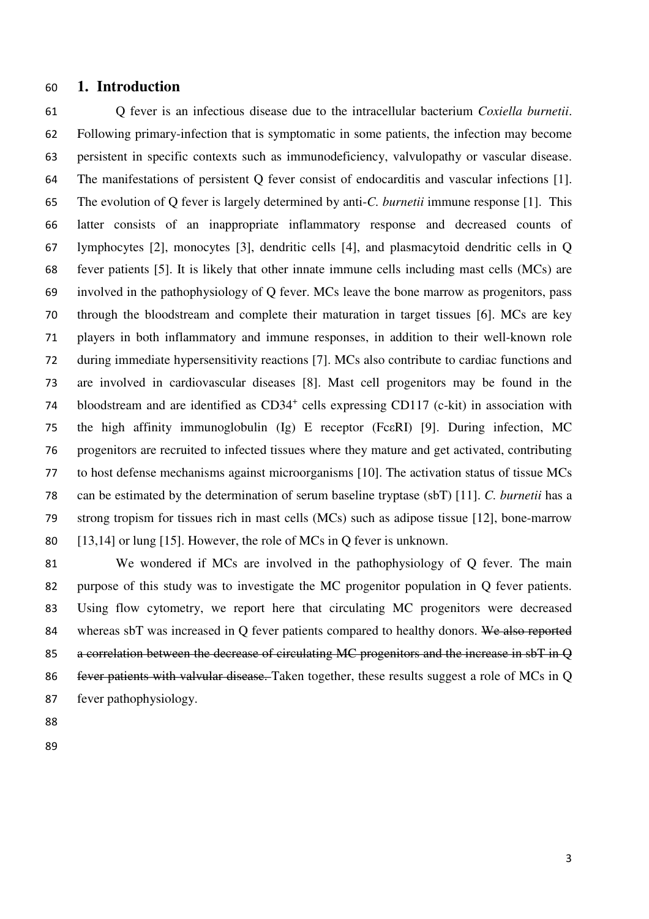#### **1. Introduction**

Q fever is an infectious disease due to the intracellular bacterium *Coxiella burnetii*. Following primary-infection that is symptomatic in some patients, the infection may become persistent in specific contexts such as immunodeficiency, valvulopathy or vascular disease. The manifestations of persistent Q fever consist of endocarditis and vascular infections [1]. The evolution of Q fever is largely determined by anti-*C. burnetii* immune response [1]. This latter consists of an inappropriate inflammatory response and decreased counts of lymphocytes [2], monocytes [3], dendritic cells [4], and plasmacytoid dendritic cells in Q fever patients [5]. It is likely that other innate immune cells including mast cells (MCs) are involved in the pathophysiology of Q fever. MCs leave the bone marrow as progenitors, pass through the bloodstream and complete their maturation in target tissues [6]. MCs are key players in both inflammatory and immune responses, in addition to their well-known role during immediate hypersensitivity reactions [7]. MCs also contribute to cardiac functions and are involved in cardiovascular diseases [8]. Mast cell progenitors may be found in the 74 bloodstream and are identified as CD34<sup>+</sup> cells expressing CD117 (c-kit) in association with the high affinity immunoglobulin (Ig) E receptor (FcεRI) [9]. During infection, MC progenitors are recruited to infected tissues where they mature and get activated, contributing to host defense mechanisms against microorganisms [10]. The activation status of tissue MCs can be estimated by the determination of serum baseline tryptase (sbT) [11]. *C. burnetii* has a strong tropism for tissues rich in mast cells (MCs) such as adipose tissue [12], bone-marrow [13,14] or lung [15]. However, the role of MCs in Q fever is unknown.

We wondered if MCs are involved in the pathophysiology of Q fever. The main purpose of this study was to investigate the MC progenitor population in Q fever patients. Using flow cytometry, we report here that circulating MC progenitors were decreased 84 whereas sbT was increased in O fever patients compared to healthy donors. We also reported 85 a correlation between the decrease of circulating MC progenitors and the increase in sbT in Q fever patients with valvular disease. Taken together, these results suggest a role of MCs in Q fever pathophysiology.

- 
-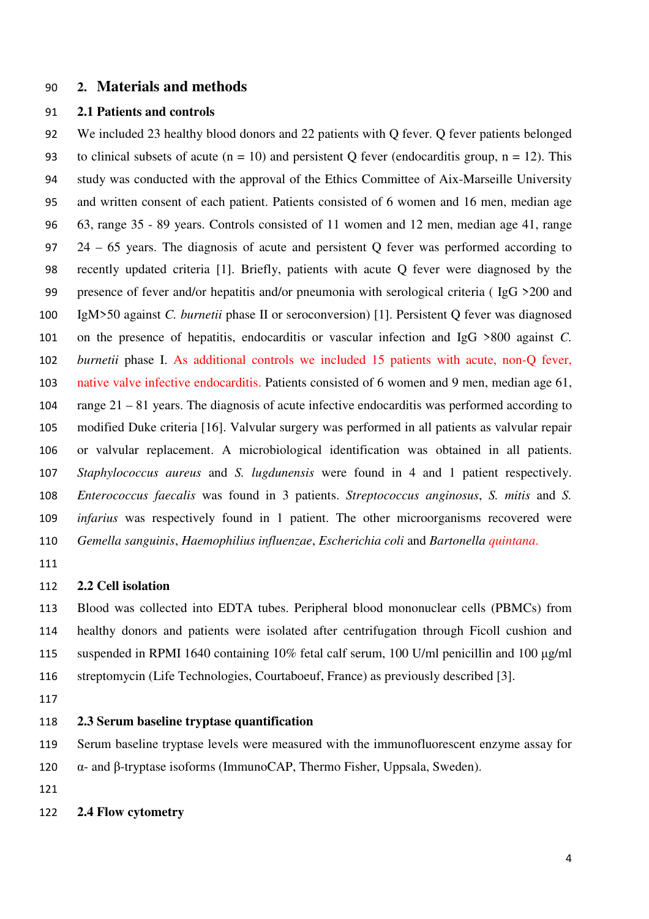# **2. Materials and methods**

#### **2.1 Patients and controls**

We included 23 healthy blood donors and 22 patients with Q fever. Q fever patients belonged 93 to clinical subsets of acute ( $n = 10$ ) and persistent Q fever (endocarditis group,  $n = 12$ ). This study was conducted with the approval of the Ethics Committee of Aix-Marseille University and written consent of each patient. Patients consisted of 6 women and 16 men, median age 63, range 35 - 89 years. Controls consisted of 11 women and 12 men, median age 41, range 24 – 65 years. The diagnosis of acute and persistent Q fever was performed according to recently updated criteria [1]. Briefly, patients with acute Q fever were diagnosed by the presence of fever and/or hepatitis and/or pneumonia with serological criteria ( IgG >200 and IgM>50 against *C. burnetii* phase II or seroconversion) [1]. Persistent Q fever was diagnosed on the presence of hepatitis, endocarditis or vascular infection and IgG >800 against *C. burnetii* phase I. As additional controls we included 15 patients with acute, non-Q fever, native valve infective endocarditis. Patients consisted of 6 women and 9 men, median age 61, range 21 – 81 years. The diagnosis of acute infective endocarditis was performed according to modified Duke criteria [16]. Valvular surgery was performed in all patients as valvular repair or valvular replacement. A microbiological identification was obtained in all patients. *Staphylococcus aureus* and *S. lugdunensis* were found in 4 and 1 patient respectively. *Enterococcus faecalis* was found in 3 patients. *Streptococcus anginosus*, *S. mitis* and *S. infarius* was respectively found in 1 patient. The other microorganisms recovered were *Gemella sanguinis*, *Haemophilius influenzae*, *Escherichia coli* and *Bartonella quintana*.

#### **2.2 Cell isolation**

Blood was collected into EDTA tubes. Peripheral blood mononuclear cells (PBMCs) from healthy donors and patients were isolated after centrifugation through Ficoll cushion and suspended in RPMI 1640 containing 10% fetal calf serum, 100 U/ml penicillin and 100 μg/ml streptomycin (Life Technologies, Courtaboeuf, France) as previously described [3].

#### **2.3 Serum baseline tryptase quantification**

Serum baseline tryptase levels were measured with the immunofluorescent enzyme assay for

α- and β-tryptase isoforms (ImmunoCAP, Thermo Fisher, Uppsala, Sweden).

**2.4 Flow cytometry**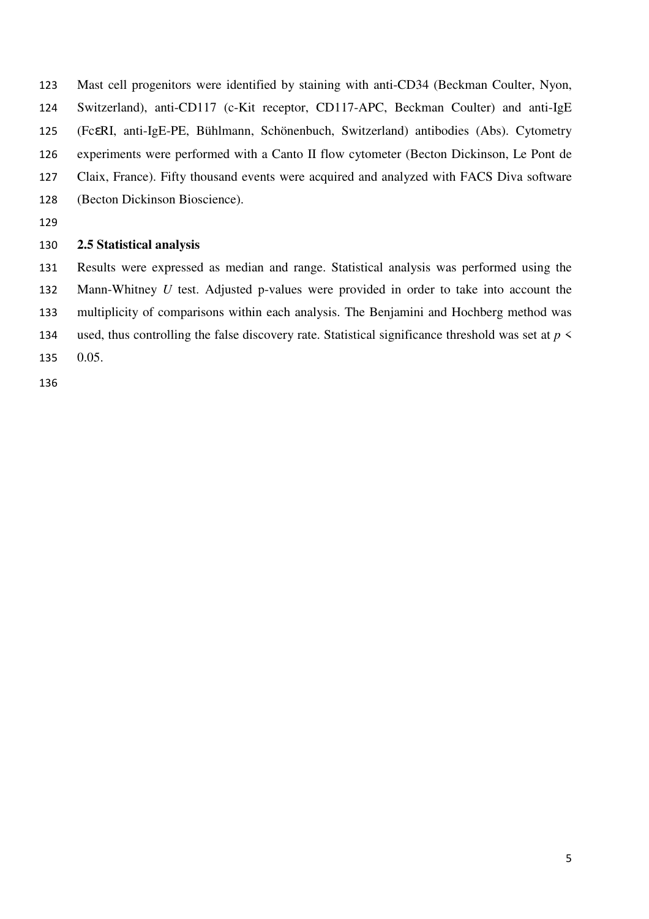Mast cell progenitors were identified by staining with anti-CD34 (Beckman Coulter, Nyon, Switzerland), anti-CD117 (c-Kit receptor, CD117-APC, Beckman Coulter) and anti-IgE (FcεRI, anti-IgE-PE, Bühlmann, Schönenbuch, Switzerland) antibodies (Abs). Cytometry experiments were performed with a Canto II flow cytometer (Becton Dickinson, Le Pont de Claix, France). Fifty thousand events were acquired and analyzed with FACS Diva software (Becton Dickinson Bioscience).

### **2.5 Statistical analysis**

Results were expressed as median and range. Statistical analysis was performed using the Mann-Whitney *U* test. Adjusted p-values were provided in order to take into account the multiplicity of comparisons within each analysis. The Benjamini and Hochberg method was 134 used, thus controlling the false discovery rate. Statistical significance threshold was set at  $p \leq$ 0.05.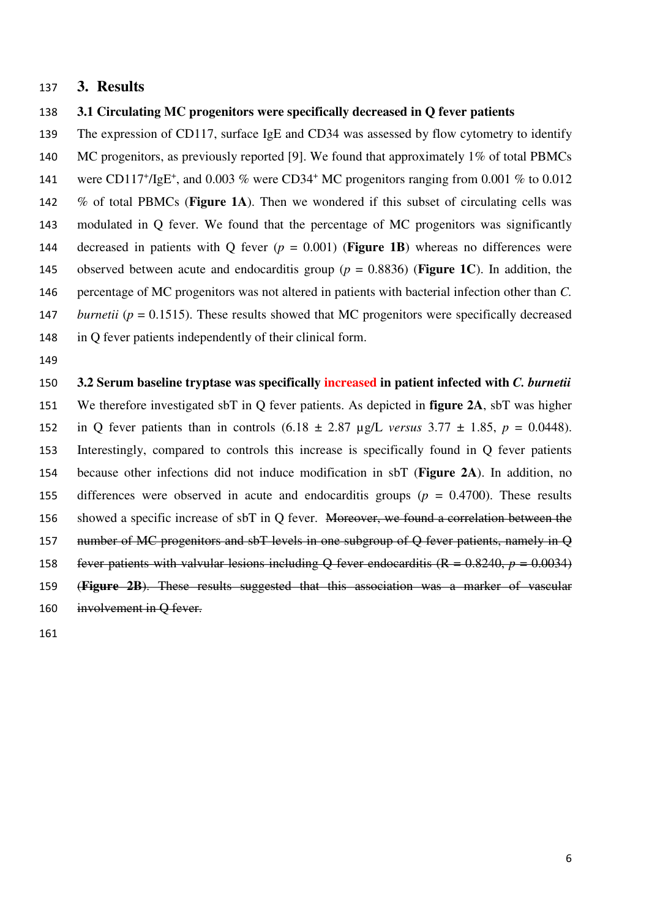#### **3. Results**

#### **3.1 Circulating MC progenitors were specifically decreased in Q fever patients**

The expression of CD117, surface IgE and CD34 was assessed by flow cytometry to identify 140 MC progenitors, as previously reported [9]. We found that approximately 1% of total PBMCs 141 were CD117<sup>+</sup>/IgE<sup>+</sup>, and 0.003 % were CD34<sup>+</sup> MC progenitors ranging from 0.001 % to 0.012 % of total PBMCs (**Figure 1A**). Then we wondered if this subset of circulating cells was modulated in Q fever. We found that the percentage of MC progenitors was significantly 144 decreased in patients with O fever  $(p = 0.001)$  (**Figure 1B**) whereas no differences were 145 observed between acute and endocarditis group ( $p = 0.8836$ ) (**Figure 1C**). In addition, the percentage of MC progenitors was not altered in patients with bacterial infection other than *C.*  147 *burnetii (* $p = 0.1515$ *).* These results showed that MC progenitors were specifically decreased in Q fever patients independently of their clinical form.

**3.2 Serum baseline tryptase was specifically increased in patient infected with** *C. burnetii* We therefore investigated sbT in Q fever patients. As depicted in **figure 2A**, sbT was higher 152 in Q fever patients than in controls  $(6.18 \pm 2.87 \text{ µg/L} \text{ versus } 3.77 \pm 1.85, p = 0.0448)$ . Interestingly, compared to controls this increase is specifically found in Q fever patients because other infections did not induce modification in sbT (**Figure 2A**). In addition, no differences were observed in acute and endocarditis groups (*p* = 0.4700). These results showed a specific increase of sbT in Q fever. Moreover, we found a correlation between the 157 number of MC progenitors and sbT levels in one subgroup of Q fever patients, namely in Q 158 fever patients with valvular lesions including Q fever endocarditis  $(R = 0.8240, p = 0.0034)$ (**Figure 2B**). These results suggested that this association was a marker of vascular involvement in Q fever.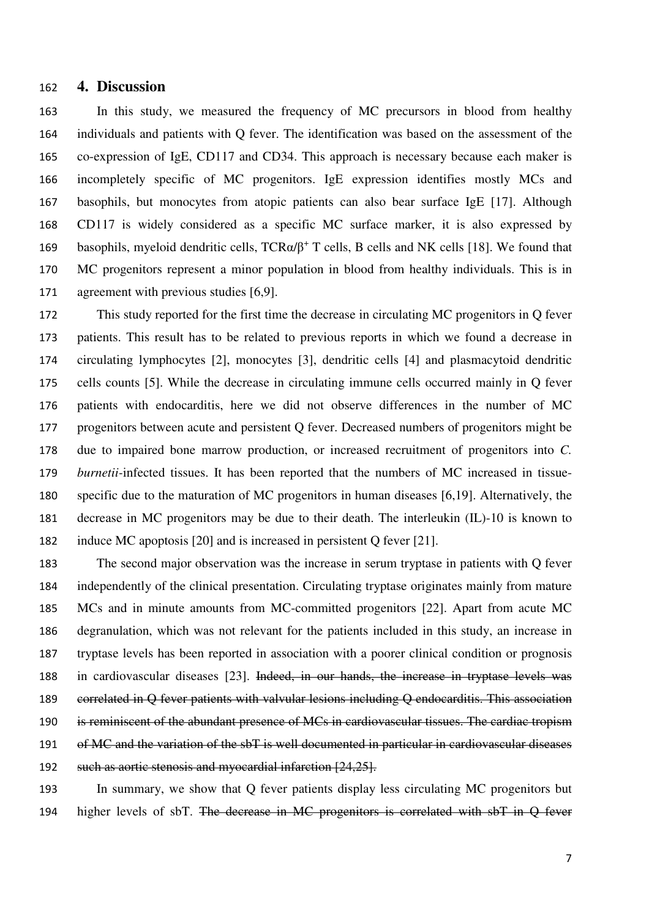#### **4. Discussion**

In this study, we measured the frequency of MC precursors in blood from healthy individuals and patients with Q fever. The identification was based on the assessment of the co-expression of IgE, CD117 and CD34. This approach is necessary because each maker is incompletely specific of MC progenitors. IgE expression identifies mostly MCs and basophils, but monocytes from atopic patients can also bear surface IgE [17]. Although CD117 is widely considered as a specific MC surface marker, it is also expressed by 169 basophils, myeloid dendritic cells,  $TCR\alpha/\beta^+$  T cells, B cells and NK cells [18]. We found that MC progenitors represent a minor population in blood from healthy individuals. This is in agreement with previous studies [6,9].

This study reported for the first time the decrease in circulating MC progenitors in Q fever patients. This result has to be related to previous reports in which we found a decrease in circulating lymphocytes [2], monocytes [3], dendritic cells [4] and plasmacytoid dendritic cells counts [5]. While the decrease in circulating immune cells occurred mainly in Q fever patients with endocarditis, here we did not observe differences in the number of MC progenitors between acute and persistent Q fever. Decreased numbers of progenitors might be due to impaired bone marrow production, or increased recruitment of progenitors into *C. burnetii-*infected tissues. It has been reported that the numbers of MC increased in tissue-specific due to the maturation of MC progenitors in human diseases [6,19]. Alternatively, the decrease in MC progenitors may be due to their death. The interleukin (IL)-10 is known to induce MC apoptosis [20] and is increased in persistent Q fever [21].

The second major observation was the increase in serum tryptase in patients with Q fever independently of the clinical presentation. Circulating tryptase originates mainly from mature MCs and in minute amounts from MC-committed progenitors [22]. Apart from acute MC degranulation, which was not relevant for the patients included in this study, an increase in tryptase levels has been reported in association with a poorer clinical condition or prognosis in cardiovascular diseases [23]. Indeed, in our hands, the increase in tryptase levels was correlated in Q fever patients with valvular lesions including Q endocarditis. This association is reminiscent of the abundant presence of MCs in cardiovascular tissues. The cardiac tropism of MC and the variation of the sbT is well documented in particular in cardiovascular diseases 192 such as aortic stenosis and myocardial infarction [24,25].

In summary, we show that Q fever patients display less circulating MC progenitors but 194 higher levels of sbT. The decrease in MC progenitors is correlated with sbT in Q fever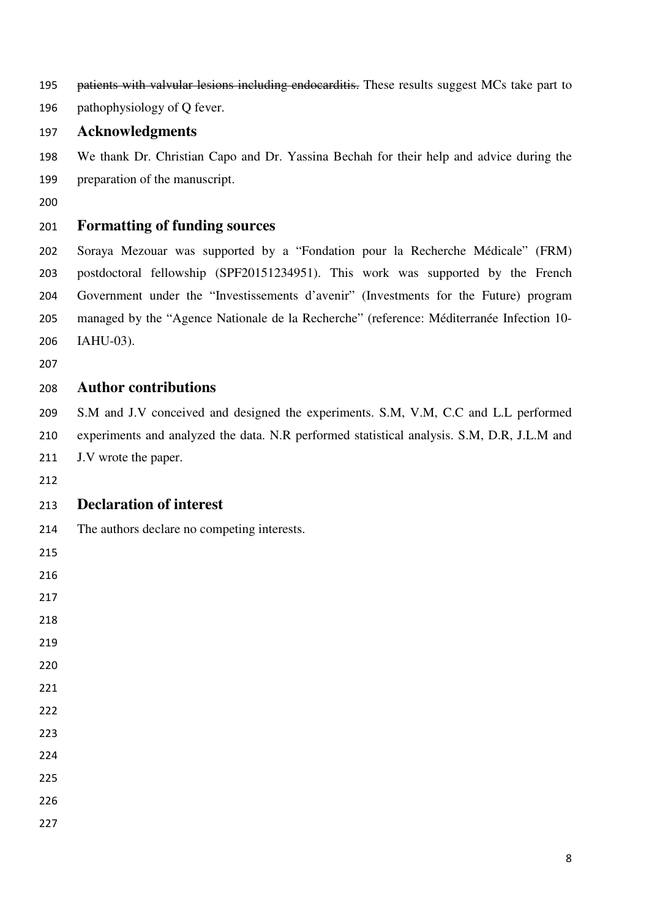195 patients with valvular lesions including endocarditis. These results suggest MCs take part to

pathophysiology of Q fever.

#### **Acknowledgments**

We thank Dr. Christian Capo and Dr. Yassina Bechah for their help and advice during the preparation of the manuscript.

# **Formatting of funding sources**

Soraya Mezouar was supported by a "Fondation pour la Recherche Médicale" (FRM) postdoctoral fellowship (SPF20151234951). This work was supported by the French Government under the "Investissements d'avenir" (Investments for the Future) program managed by the "Agence Nationale de la Recherche" (reference: Méditerranée Infection 10- IAHU-03).

## **Author contributions**

S.M and J.V conceived and designed the experiments. S.M, V.M, C.C and L.L performed experiments and analyzed the data. N.R performed statistical analysis. S.M, D.R, J.L.M and J.V wrote the paper.

### **Declaration of interest**

The authors declare no competing interests.

- 
- 
- 
- 
- 
- 
- 
- 
- 
- 
-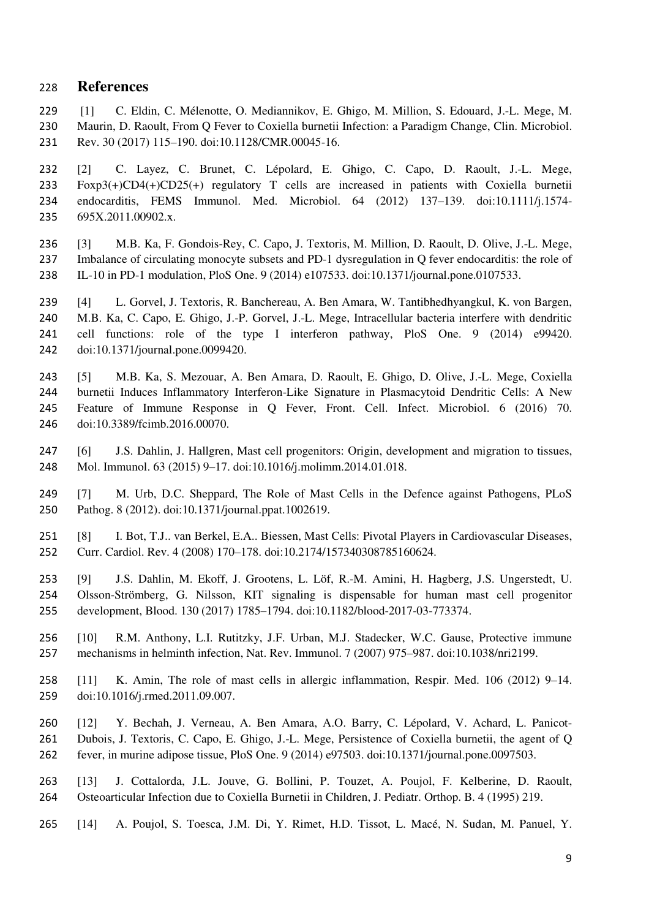#### **References**

[1] C. Eldin, C. Mélenotte, O. Mediannikov, E. Ghigo, M. Million, S. Edouard, J.-L. Mege, M. Maurin, D. Raoult, From Q Fever to Coxiella burnetii Infection: a Paradigm Change, Clin. Microbiol. Rev. 30 (2017) 115–190. doi:10.1128/CMR.00045-16.

[2] C. Layez, C. Brunet, C. Lépolard, E. Ghigo, C. Capo, D. Raoult, J.-L. Mege, Foxp3(+)CD4(+)CD25(+) regulatory T cells are increased in patients with Coxiella burnetii endocarditis, FEMS Immunol. Med. Microbiol. 64 (2012) 137–139. doi:10.1111/j.1574- 695X.2011.00902.x.

[3] M.B. Ka, F. Gondois-Rey, C. Capo, J. Textoris, M. Million, D. Raoult, D. Olive, J.-L. Mege, Imbalance of circulating monocyte subsets and PD-1 dysregulation in Q fever endocarditis: the role of IL-10 in PD-1 modulation, PloS One. 9 (2014) e107533. doi:10.1371/journal.pone.0107533.

[4] L. Gorvel, J. Textoris, R. Banchereau, A. Ben Amara, W. Tantibhedhyangkul, K. von Bargen, M.B. Ka, C. Capo, E. Ghigo, J.-P. Gorvel, J.-L. Mege, Intracellular bacteria interfere with dendritic cell functions: role of the type I interferon pathway, PloS One. 9 (2014) e99420. doi:10.1371/journal.pone.0099420.

[5] M.B. Ka, S. Mezouar, A. Ben Amara, D. Raoult, E. Ghigo, D. Olive, J.-L. Mege, Coxiella burnetii Induces Inflammatory Interferon-Like Signature in Plasmacytoid Dendritic Cells: A New Feature of Immune Response in Q Fever, Front. Cell. Infect. Microbiol. 6 (2016) 70. doi:10.3389/fcimb.2016.00070.

[6] J.S. Dahlin, J. Hallgren, Mast cell progenitors: Origin, development and migration to tissues, Mol. Immunol. 63 (2015) 9–17. doi:10.1016/j.molimm.2014.01.018.

[7] M. Urb, D.C. Sheppard, The Role of Mast Cells in the Defence against Pathogens, PLoS Pathog. 8 (2012). doi:10.1371/journal.ppat.1002619.

[8] I. Bot, T.J.. van Berkel, E.A.. Biessen, Mast Cells: Pivotal Players in Cardiovascular Diseases, Curr. Cardiol. Rev. 4 (2008) 170–178. doi:10.2174/157340308785160624.

[9] J.S. Dahlin, M. Ekoff, J. Grootens, L. Löf, R.-M. Amini, H. Hagberg, J.S. Ungerstedt, U. Olsson-Strömberg, G. Nilsson, KIT signaling is dispensable for human mast cell progenitor development, Blood. 130 (2017) 1785–1794. doi:10.1182/blood-2017-03-773374.

[10] R.M. Anthony, L.I. Rutitzky, J.F. Urban, M.J. Stadecker, W.C. Gause, Protective immune mechanisms in helminth infection, Nat. Rev. Immunol. 7 (2007) 975–987. doi:10.1038/nri2199.

[11] K. Amin, The role of mast cells in allergic inflammation, Respir. Med. 106 (2012) 9–14. doi:10.1016/j.rmed.2011.09.007.

[12] Y. Bechah, J. Verneau, A. Ben Amara, A.O. Barry, C. Lépolard, V. Achard, L. Panicot-Dubois, J. Textoris, C. Capo, E. Ghigo, J.-L. Mege, Persistence of Coxiella burnetii, the agent of Q fever, in murine adipose tissue, PloS One. 9 (2014) e97503. doi:10.1371/journal.pone.0097503.

[13] J. Cottalorda, J.L. Jouve, G. Bollini, P. Touzet, A. Poujol, F. Kelberine, D. Raoult, Osteoarticular Infection due to Coxiella Burnetii in Children, J. Pediatr. Orthop. B. 4 (1995) 219.

[14] A. Poujol, S. Toesca, J.M. Di, Y. Rimet, H.D. Tissot, L. Macé, N. Sudan, M. Panuel, Y.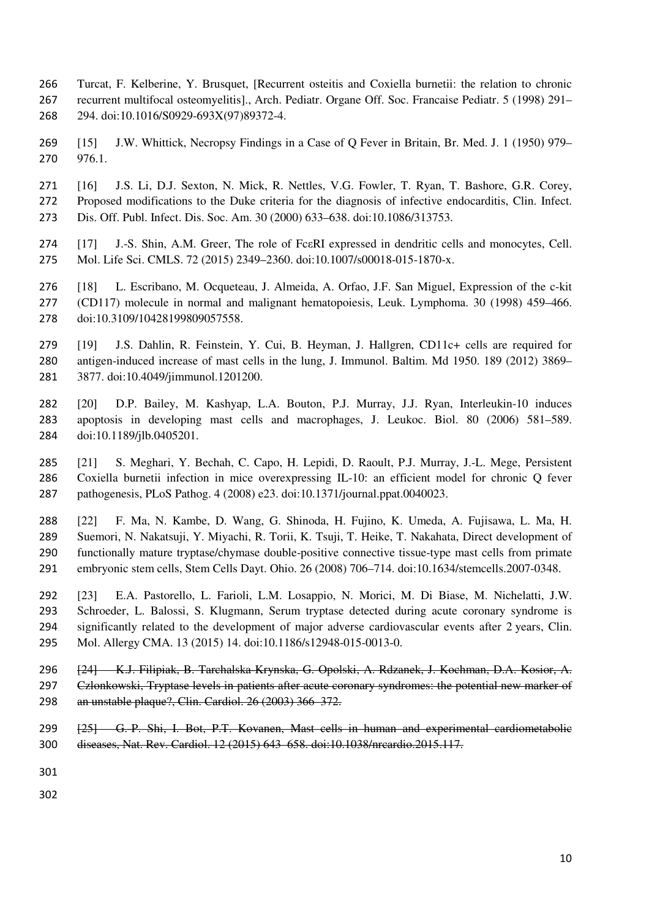- Turcat, F. Kelberine, Y. Brusquet, [Recurrent osteitis and Coxiella burnetii: the relation to chronic recurrent multifocal osteomyelitis]., Arch. Pediatr. Organe Off. Soc. Francaise Pediatr. 5 (1998) 291– 294. doi:10.1016/S0929-693X(97)89372-4.
- [15] J.W. Whittick, Necropsy Findings in a Case of Q Fever in Britain, Br. Med. J. 1 (1950) 979– 976.1.
- [16] J.S. Li, D.J. Sexton, N. Mick, R. Nettles, V.G. Fowler, T. Ryan, T. Bashore, G.R. Corey, Proposed modifications to the Duke criteria for the diagnosis of infective endocarditis, Clin. Infect. Dis. Off. Publ. Infect. Dis. Soc. Am. 30 (2000) 633–638. doi:10.1086/313753.
- [17] J.-S. Shin, A.M. Greer, The role of FcεRI expressed in dendritic cells and monocytes, Cell. Mol. Life Sci. CMLS. 72 (2015) 2349–2360. doi:10.1007/s00018-015-1870-x.
- [18] L. Escribano, M. Ocqueteau, J. Almeida, A. Orfao, J.F. San Miguel, Expression of the c-kit (CD117) molecule in normal and malignant hematopoiesis, Leuk. Lymphoma. 30 (1998) 459–466. doi:10.3109/10428199809057558.
- [19] J.S. Dahlin, R. Feinstein, Y. Cui, B. Heyman, J. Hallgren, CD11c+ cells are required for antigen-induced increase of mast cells in the lung, J. Immunol. Baltim. Md 1950. 189 (2012) 3869– 3877. doi:10.4049/jimmunol.1201200.
- [20] D.P. Bailey, M. Kashyap, L.A. Bouton, P.J. Murray, J.J. Ryan, Interleukin-10 induces apoptosis in developing mast cells and macrophages, J. Leukoc. Biol. 80 (2006) 581–589. doi:10.1189/jlb.0405201.
- [21] S. Meghari, Y. Bechah, C. Capo, H. Lepidi, D. Raoult, P.J. Murray, J.-L. Mege, Persistent Coxiella burnetii infection in mice overexpressing IL-10: an efficient model for chronic Q fever pathogenesis, PLoS Pathog. 4 (2008) e23. doi:10.1371/journal.ppat.0040023.
- [22] F. Ma, N. Kambe, D. Wang, G. Shinoda, H. Fujino, K. Umeda, A. Fujisawa, L. Ma, H. Suemori, N. Nakatsuji, Y. Miyachi, R. Torii, K. Tsuji, T. Heike, T. Nakahata, Direct development of functionally mature tryptase/chymase double-positive connective tissue-type mast cells from primate embryonic stem cells, Stem Cells Dayt. Ohio. 26 (2008) 706–714. doi:10.1634/stemcells.2007-0348.
- [23] E.A. Pastorello, L. Farioli, L.M. Losappio, N. Morici, M. Di Biase, M. Nichelatti, J.W. Schroeder, L. Balossi, S. Klugmann, Serum tryptase detected during acute coronary syndrome is significantly related to the development of major adverse cardiovascular events after 2 years, Clin. Mol. Allergy CMA. 13 (2015) 14. doi:10.1186/s12948-015-0013-0.
- [24] K.J. Filipiak, B. Tarchalska-Krynska, G. Opolski, A. Rdzanek, J. Kochman, D.A. Kosior, A. 297 Członkowski, Tryptase levels in patients after acute coronary syndromes: the potential new marker of an unstable plaque?, Clin. Cardiol. 26 (2003) 366–372.
- 299 [25] G.-P. Shi, I. Bot, P.T. Kovanen, Mast cells in human and experimental cardiometabolic diseases, Nat. Rev. Cardiol. 12 (2015) 643–658. doi:10.1038/nrcardio.2015.117.
- 
-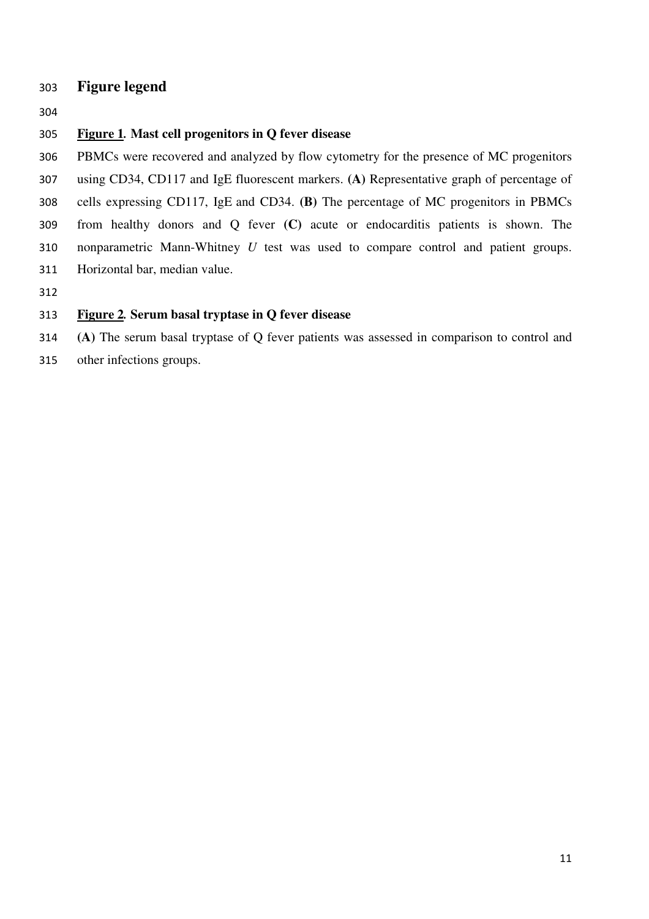# **Figure legend**

#### **Figure 1***.* **Mast cell progenitors in Q fever disease**

PBMCs were recovered and analyzed by flow cytometry for the presence of MC progenitors using CD34, CD117 and IgE fluorescent markers. **(A)** Representative graph of percentage of cells expressing CD117, IgE and CD34. **(B)** The percentage of MC progenitors in PBMCs from healthy donors and Q fever **(C)** acute or endocarditis patients is shown. The nonparametric Mann-Whitney *U* test was used to compare control and patient groups. Horizontal bar, median value.

## **Figure 2***.* **Serum basal tryptase in Q fever disease**

**(A)** The serum basal tryptase of Q fever patients was assessed in comparison to control and

other infections groups.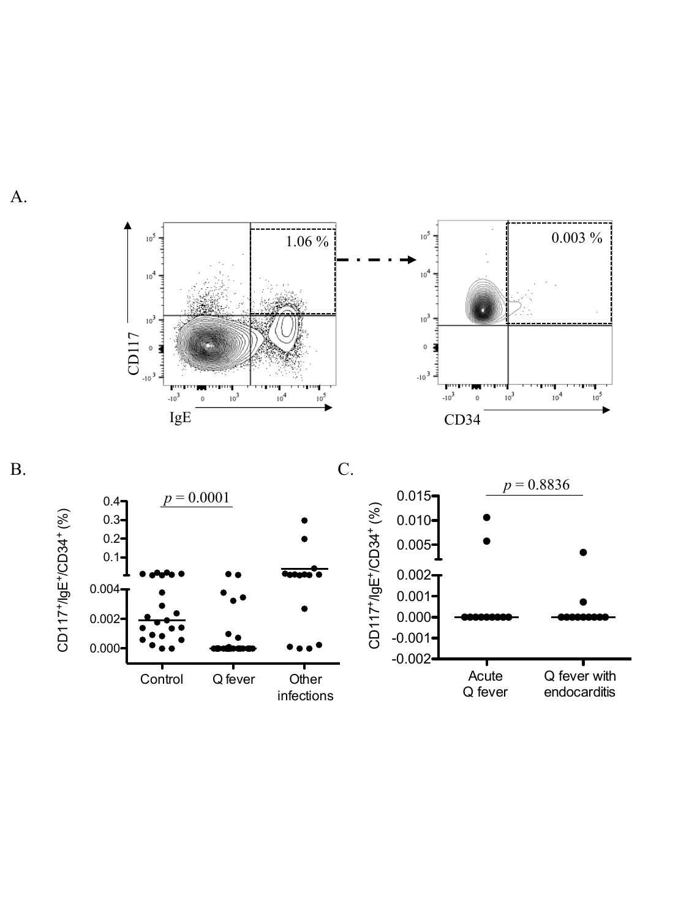



A.